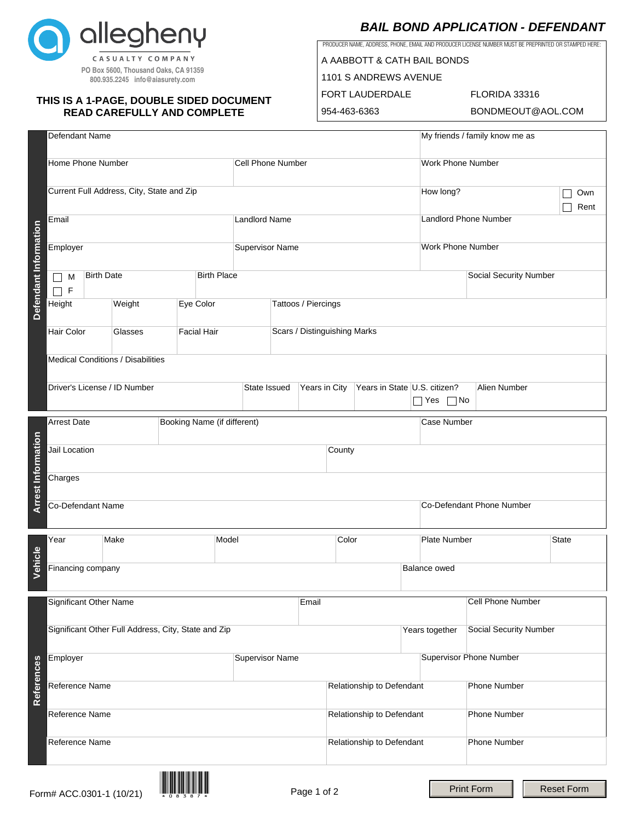

# **THIS IS A 1-PAGE, DOUBLE SIDED DOCUMENT READ CAREFULLY AND COMPLETE**

# **BAIL BOND APPLICATION - DEFENDANT**

PRODUCER NAME, ADDRESS, PHONE, EMAIL AND PRODUCER LICENSE NUMBER MUST BE PREPRINTED OR STAMPED HERE:

|                           |                               |                   | CASUALTY COMPANY<br>PO Box 5600, Thousand Oaks, CA 91359 |  |                             |                          |                              |               |       | A AABBOTT & CATH BAIL BONDS  |  |                              |                                |  |                   |
|---------------------------|-------------------------------|-------------------|----------------------------------------------------------|--|-----------------------------|--------------------------|------------------------------|---------------|-------|------------------------------|--|------------------------------|--------------------------------|--|-------------------|
|                           |                               |                   | 800.935.2245 info@aiasurety.com                          |  |                             |                          |                              |               |       | 1101 S ANDREWS AVENUE        |  |                              |                                |  |                   |
|                           |                               |                   | THIS IS A 1-PAGE, DOUBLE SIDED DOCUMENT                  |  |                             |                          |                              |               |       | FORT LAUDERDALE              |  |                              | FLORIDA 33316                  |  |                   |
|                           |                               |                   | <b>READ CAREFULLY AND COMPLETE</b>                       |  |                             |                          |                              |               |       | 954-463-6363                 |  |                              | BONDMEOUT@AOL.COM              |  |                   |
|                           | Defendant Name                |                   |                                                          |  |                             |                          |                              |               |       |                              |  |                              | My friends / family know me as |  |                   |
|                           | Home Phone Number             |                   |                                                          |  |                             | <b>Cell Phone Number</b> |                              |               |       |                              |  | <b>Work Phone Number</b>     |                                |  |                   |
|                           |                               |                   |                                                          |  |                             |                          |                              |               |       |                              |  |                              |                                |  |                   |
|                           |                               |                   | Current Full Address, City, State and Zip                |  |                             |                          |                              |               |       |                              |  | How long?                    |                                |  | Own<br>Rent       |
|                           | Email                         |                   |                                                          |  |                             | <b>Landlord Name</b>     |                              |               |       |                              |  | <b>Landlord Phone Number</b> |                                |  |                   |
|                           | Employer                      |                   |                                                          |  |                             | Supervisor Name          |                              |               |       |                              |  | <b>Work Phone Number</b>     |                                |  |                   |
|                           |                               |                   |                                                          |  |                             |                          |                              |               |       |                              |  |                              |                                |  |                   |
|                           | M<br>F                        | <b>Birth Date</b> |                                                          |  | <b>Birth Place</b>          |                          |                              |               |       |                              |  |                              | Social Security Number         |  |                   |
| Defendant Information     | Height                        |                   | Weight                                                   |  | Eye Color                   |                          | Tattoos / Piercings          |               |       |                              |  |                              |                                |  |                   |
|                           | Hair Color                    |                   | Glasses                                                  |  | <b>Facial Hair</b>          |                          | Scars / Distinguishing Marks |               |       |                              |  |                              |                                |  |                   |
|                           |                               |                   | Medical Conditions / Disabilities                        |  |                             |                          |                              |               |       |                              |  |                              |                                |  |                   |
|                           |                               |                   | Driver's License / ID Number                             |  |                             |                          |                              |               |       |                              |  |                              |                                |  |                   |
|                           |                               |                   |                                                          |  |                             | State Issued             |                              | Years in City |       | Years in State U.S. citizen? |  | $\sqsupset$ Yes $\sqcap$ No  | Alien Number                   |  |                   |
|                           | <b>Arrest Date</b>            |                   |                                                          |  | Booking Name (if different) |                          |                              |               |       |                              |  | <b>Case Number</b>           |                                |  |                   |
|                           |                               |                   |                                                          |  |                             |                          |                              |               |       |                              |  |                              |                                |  |                   |
| <b>Arrest Information</b> | Jail Location<br>County       |                   |                                                          |  |                             |                          |                              |               |       |                              |  |                              |                                |  |                   |
|                           | Charges                       |                   |                                                          |  |                             |                          |                              |               |       |                              |  |                              |                                |  |                   |
|                           | Co-Defendant Name             |                   |                                                          |  |                             |                          |                              |               |       |                              |  |                              | Co-Defendant Phone Number      |  |                   |
|                           |                               |                   |                                                          |  |                             |                          |                              |               |       |                              |  |                              |                                |  |                   |
|                           | Year                          |                   | Make                                                     |  | Model                       |                          |                              |               | Color |                              |  | Plate Number                 |                                |  | <b>State</b>      |
| Vehicle                   | Financing company             |                   |                                                          |  |                             |                          |                              |               |       | Balance owed                 |  |                              |                                |  |                   |
|                           |                               |                   |                                                          |  |                             |                          |                              |               |       |                              |  |                              |                                |  |                   |
|                           | <b>Significant Other Name</b> |                   |                                                          |  |                             |                          |                              | Email         |       |                              |  |                              | <b>Cell Phone Number</b>       |  |                   |
|                           |                               |                   | Significant Other Full Address, City, State and Zip      |  |                             |                          |                              |               |       |                              |  | Years together               | Social Security Number         |  |                   |
|                           |                               |                   |                                                          |  |                             |                          |                              |               |       |                              |  |                              |                                |  |                   |
|                           | Employer                      |                   |                                                          |  |                             | Supervisor Name          |                              |               |       |                              |  |                              | Supervisor Phone Number        |  |                   |
| <b>References</b>         | Reference Name                |                   |                                                          |  |                             |                          |                              |               |       | Relationship to Defendant    |  |                              | <b>Phone Number</b>            |  |                   |
|                           | <b>Reference Name</b>         |                   |                                                          |  |                             |                          |                              |               |       | Relationship to Defendant    |  |                              | <b>Phone Number</b>            |  |                   |
|                           | Reference Name                |                   |                                                          |  |                             |                          |                              |               |       | Relationship to Defendant    |  |                              | Phone Number                   |  |                   |
|                           |                               |                   |                                                          |  |                             |                          |                              |               |       |                              |  |                              |                                |  |                   |
|                           |                               |                   |                                                          |  |                             |                          |                              |               |       |                              |  |                              | <b>Print Form</b>              |  | <b>Reset Form</b> |
|                           | ACC 0001                      |                   |                                                          |  |                             |                          |                              | Page 1 of 2   |       |                              |  |                              |                                |  |                   |